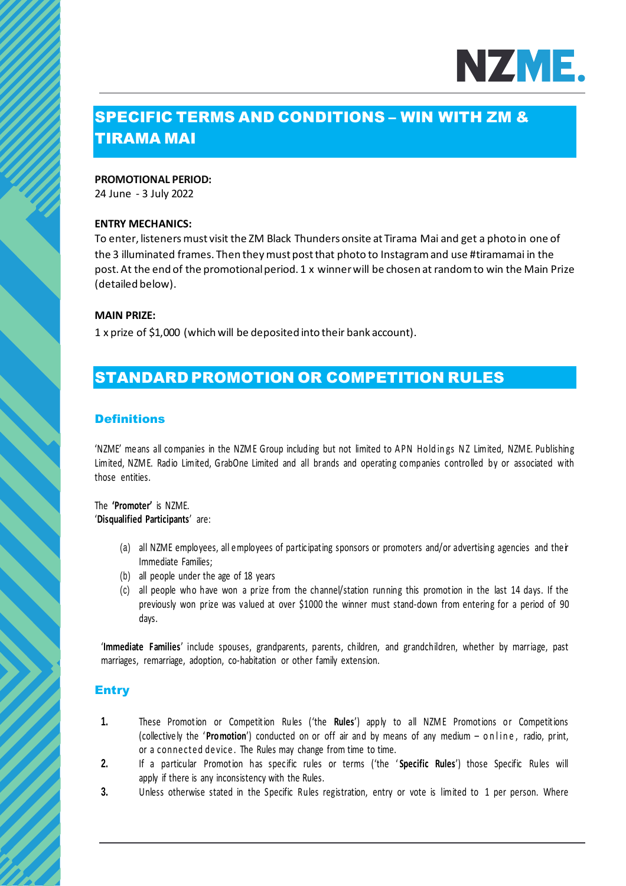

# SPECIFIC TERMS AND CONDITIONS – WIN WITH ZM & TIRAMA MAI

#### **PROMOTIONAL PERIOD:**

24 June - 3 July 2022

#### **ENTRY MECHANICS:**

To enter, listeners must visit the ZM Black Thunders onsite at Tirama Mai and get a photo in one of the 3 illuminated frames. Then they must post that photo to Instagramand use #tiramamai in the post. At the end of the promotional period. 1 x winner will be chosen at random to win the Main Prize (detailed below).

#### **MAIN PRIZE:**

1 x prize of \$1,000 (which will be deposited into their bank account).

# STANDARD PROMOTION OR COMPETITION RULES

## **Definitions**

'NZME' me ans all companies in the NZME Group including but not limited to APN Holdings NZ Limited, NZME. Publishing Limited, NZM E. Radio Limited, GrabOne Limited and all brands and operating companies controlled by or associated with those entities.

The **'Promoter'** is NZME. '**Disqualified Participants**' are:

- (a) all NZME employees, all employees of participating sponsors or promoters and/or advertising agencies and their Immediate Families;
- (b) all people under the age of 18 years
- (c) all people who have won a prize from the channel/station running this promotion in the last 14 days. If the previously won prize was valued at over \$1000 the winner must stand-down from entering for a period of 90 days.

'**Immediate Families**' include spouses, grandparents, parents, children, and grandchildren, whether by marriage, past marriages, remarriage, adoption, co-habitation or other family extension.

## **Entry**

- **1.** These Promotion or Competition Rules ('the **Rules**') apply to all NZM E Promotions or Competitions (collectively the '**Promotion**') conducted on or off air and by means of any medium – online, radio, print, or a connected device. The Rules may change from time to time.
- **2.** If a particular Promotion has specific rules or terms ('the ' **Specific Rules**') those Specific Rules will apply if there is any inconsistency with the Rules.
- **3.** Unless otherwise stated in the Specific Rules registration, entry or vote is limited to 1 per person. Where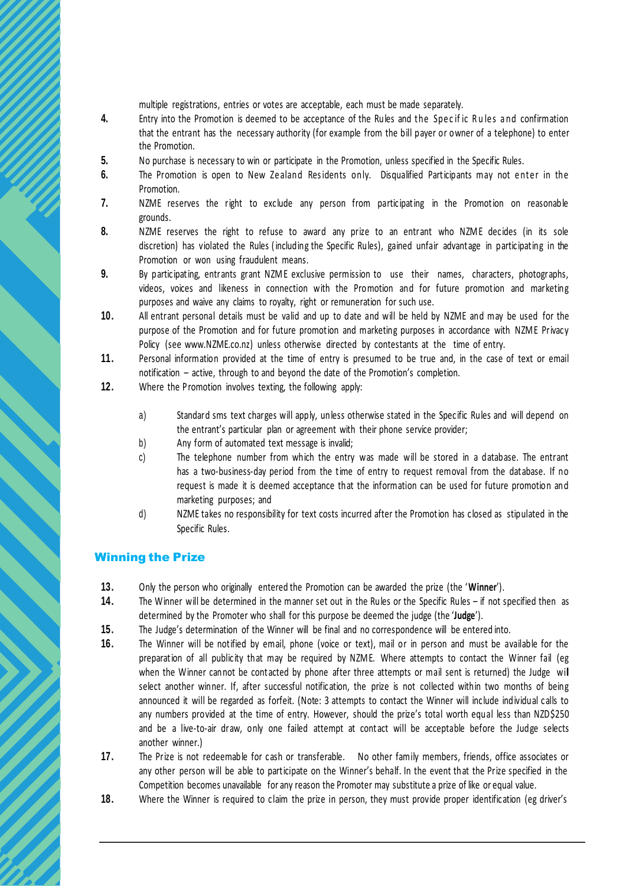multiple registrations, entries or votes are acceptable, each must be made separately.

- **4.** Entry into the Promotion is deemed to be acceptance of the Rules and the Specific Rules and confirmation that the entrant has the necessary authority (for example from the bill payer or owner of a telephone) to enter the Promotion.
- **5.** No purchase is necessary to win or participate in the Promotion, unless specified in the Specific Rules.
- **6.** The Promotion is open to New Zealand Residents only. Disqualified Participants may not enter in the Promotion.
- **7.** NZME reserves the right to exclude any person from participating in the Promotion on reasonable grounds.
- 8. NZME reserves the right to refuse to award any prize to an entrant who NZME decides (in its sole discretion) has violated the Rules ( including the Specific Rules), gained unfair advantage in participating in the Promotion or won using fraudulent means.
- **9.** By participating, entrants grant NZM E exclusive permission to use their names, characters, photographs, videos, voices and likeness in connection with the Promotion and for future promotion and marketing purposes and waive any claims to royalty, right or remuneration for such use.
- **10.** All entrant personal details must be valid and up to date and will be held by NZME and may be used for the purpose of the Promotion and for future promotion and marketing purposes in accordance with NZM E Privacy Policy (see www.NZME.co.nz) unless otherwise directed by contestants at the time of entry.
- **11.** Personal information provided at the time of entry is presumed to be true and, in the case of text or email notification – active, through to and beyond the date of the Promotion's completion.
- **12.** Where the Promotion involves texting, the following apply:
	- a) Standard sms text charges will apply, unless otherwise stated in the Specific Rules and will depend on the entrant's particular plan or agreement with their phone service provider;
	- b) Any form of automated text message is invalid;
	- c) The telephone number from which the entry was made will be stored in a database. The entrant has a two-business-day period from the time of entry to request removal from the database. If no request is made it is deemed acceptance that the information can be used for future promotion and marketing purposes; and
	- d) NZME takes no responsibility for text costs incurred after the Promotion has closed as stipulated in the Specific Rules.

# Winning the Prize

- **13.** Only the person who originally entered the Promotion can be awarded the prize (the '**Winner**').
- **14.** The Winner will be determined in the manner set out in the Rules or the Specific Rules if not specified then as determined by the Promoter who shall for this purpose be deemed the judge (the '**Judge**').
- **15.** The Judge's determination of the Winner will be final and no correspondence will be entered into.
- **16.** The Winner will be notified by email, phone (voice or text), mail or in person and must be available for the preparation of all publicity that may be required by NZM E. Where attempts to contact the Winner fail (eg when the Winner cannot be contacted by phone after three attempts or mail sent is returned) the Judge will select another winner. If, after successful notification, the prize is not collected within two months of being announced it will be regarded as forfeit. (Note: 3 attempts to contact the Winner will include individual calls to any numbers provided at the time of entry. However, should the prize's total worth equal less than NZD\$250 and be a live-to-air draw, only one failed attempt at contact will be acceptable before the Judge selects another winner.)
- **17.** The Prize is not redeemable for cash or transferable. No other family members, friends, office associates or any other person will be able to participate on the Winner's behalf. In the event that the Prize specified in the Competition becomes unavailable for any reason the Promoter may substitute a prize of like or equal value.
- **18.** Where the Winner is required to claim the prize in person, they must provide proper identification (eg driver's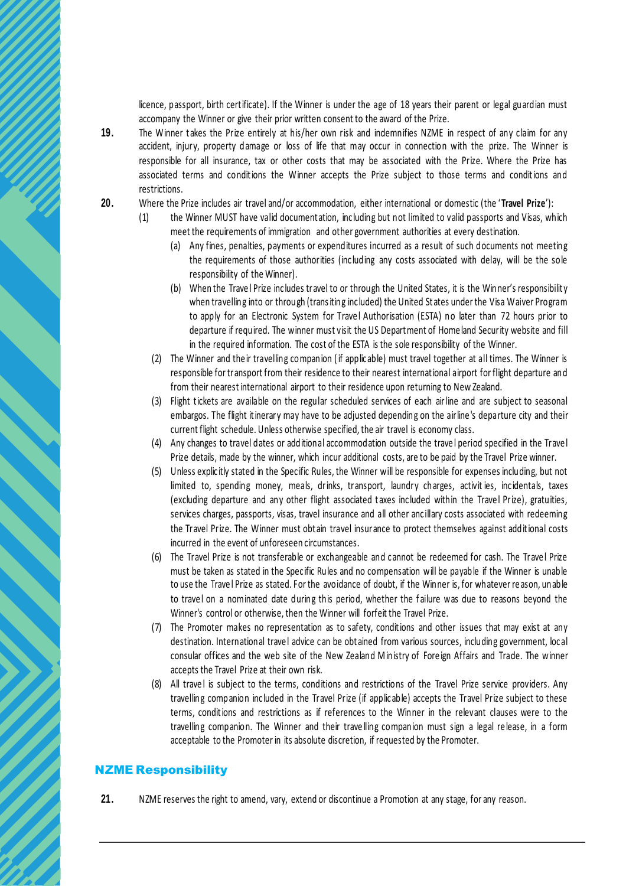licence, passport, birth certificate). If the Winner is under the age of 18 years their parent or legal guardian must accompany the Winner or give their prior written consent to the award of the Prize.

- **19.** The Winner takes the Prize entirely at his/her own risk and indemnifies NZME in respect of any claim for any accident, injury, property damage or loss of life that may occur in connection with the prize. The Winner is responsible for all insurance, tax or other costs that may be associated with the Prize. Where the Prize has associated terms and conditions the Winner accepts the Prize subject to those terms and conditions and restrictions.
- **20.** Where the Prize includes air travel and/or accommodation, either international or domestic (the ' **Travel Prize**'):
	- (1) the Winner MUST have valid documentation, including but not limited to valid passports and Visas, which meet the requirements of immigration and other government authorities at every destination.
		- (a) Any fines, penalties, payments or expenditures incurred as a result of such documents not meeting the requirements of those authorities (including any costs associated with delay, will be the sole responsibility of the Winner).
		- (b) When the Trave l Prize includes travel to or through the United States, it is the Winner's responsibility when travelling into or through (transiting included) the United States under the Visa Waiver Program to apply for an Electronic System for Travel Authorisation (ESTA) no later than 72 hours prior to departure if required. The winner must visit the US Department of Home land Security website and fill in the required information. The cost of the ESTA is the sole responsibility of the Winner.
		- (2) The Winner and the ir travelling companion ( if applicable) must travel together at all times. The Winner is responsible for transport from their residence to their nearest international airport for flight departure and from their nearest international airport to their residence upon returning to New Zealand.
		- (3) Flight tickets are available on the regular scheduled services of each airline and are subject to seasonal embargos. The flight itinerary may have to be adjusted depending on the airline 's departure city and their current flight schedule. Unless otherwise specified, the air travel is economy class.
		- (4) Any changes to travel dates or additional accommodation outside the trave l period specified in the Trave l Prize details, made by the winner, which incur additional costs, are to be paid by the Travel Prize winner.
		- (5) Unless explicitly stated in the Specific Rules, the Winner will be responsible for expenses including, but not limited to, spending money, meals, drinks, transport, laundry charges, activit ies, incidentals, taxes (excluding departure and any other flight associated taxes included within the Trave l Prize), gratuities, services charges, passports, visas, travel insurance and all other ancillary costs associated with redeeming the Travel Prize. The Winner must obtain travel insurance to protect themselves against additional costs incurred in the event of unforeseen circumstances.
		- (6) The Travel Prize is not transferable or exchangeable and cannot be redeemed for cash. The Trave l Prize must be taken as stated in the Specific Rules and no compensation will be payable if the Winner is unable to use the Trave l Prize as stated. For the avoidance of doubt, if the Winner is, for whatever re ason, unable to trave l on a nominated date during this period, whether the f ailure was due to reasons beyond the Winner's control or otherwise, then the Winner will forfeit the Travel Prize.
		- (7) The Promoter makes no representation as to safety, conditions and other issues that may exist at any destination. International trave l advice can be obtained from various sources, including government, local consular offices and the web site of the New Zealand M inistry of Fore ign Affairs and Trade. The winner accepts the Travel Prize at their own risk.
		- (8) All trave l is subject to the terms, conditions and restrictions of the Travel Prize service providers. Any travelling companion included in the Travel Prize (if applicable) accepts the Travel Prize subject to these terms, conditions and restrictions as if references to the Winner in the relevant clauses were to the travelling companion. The Winner and their trave lling companion must sign a legal re lease, in a form acceptable to the Promoter in its absolute discretion, if requested by the Promoter.

#### NZME Responsibility

**21.** NZME reserves the right to amend, vary, extend or discontinue a Promotion at any stage, for any reason.